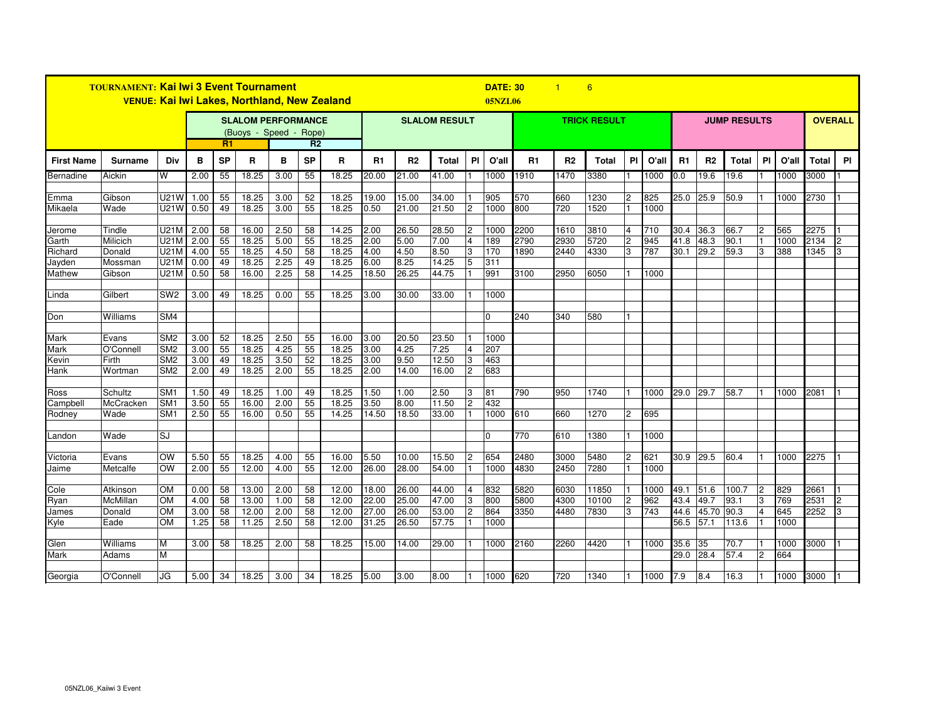| <b>TOURNAMENT: Kai Iwi 3 Event Tournament</b><br><b>VENUE: Kai Iwi Lakes, Northland, New Zealand</b> |                      |                                    |                                                                             |           |                |              |                 |                      |                |                | <b>DATE: 30</b><br>6<br>$\blacksquare$<br><b>05NZL06</b> |                |                     |              |              |                |                |             |                     |                |               |                |            |              |    |
|------------------------------------------------------------------------------------------------------|----------------------|------------------------------------|-----------------------------------------------------------------------------|-----------|----------------|--------------|-----------------|----------------------|----------------|----------------|----------------------------------------------------------|----------------|---------------------|--------------|--------------|----------------|----------------|-------------|---------------------|----------------|---------------|----------------|------------|--------------|----|
|                                                                                                      |                      |                                    | <b>SLALOM PERFORMANCE</b><br>(Buoys - Speed - Rope)<br>R1<br>R <sub>2</sub> |           |                |              |                 | <b>SLALOM RESULT</b> |                |                |                                                          |                | <b>TRICK RESULT</b> |              |              |                |                |             | <b>JUMP RESULTS</b> | <b>OVERALL</b> |               |                |            |              |    |
| <b>First Name</b>                                                                                    | <b>Surname</b>       | Div                                | в                                                                           | <b>SP</b> | R              | в            | <b>SP</b>       | R                    | R1             | R2             | <b>Total</b>                                             | PI             | O'all               | R1           | R2           | <b>Total</b>   | PI             | O'all       | R1                  | R <sub>2</sub> | <b>Total</b>  | <b>PI</b>      | O'all      | <b>Total</b> | PI |
| Bernadine                                                                                            | Aickin               | W                                  | 2.00                                                                        | 55        | 18.25          | 3.00         | 55              | 18.25                | 20.00          | 21.00          | 41.00                                                    |                | 1000                | 1910         | 1470         | 3380           |                | 1000        | 0.0                 | 19.6           | 19.6          |                | 1000       | 3000         |    |
|                                                                                                      |                      |                                    |                                                                             |           |                |              |                 |                      |                |                |                                                          |                |                     |              |              |                |                |             |                     |                |               |                |            |              |    |
| Emma                                                                                                 | Gibson               | U21W                               | 1.00                                                                        | 55        | 18.25          | 3.00         | 52              | 18.25                | 19.00          | 15.00          | 34.00                                                    |                | 905                 | 570          | 660          | 1230           | $\overline{c}$ | 825         | 25.0                | 25.9           | 50.9          |                | 1000       | 2730         |    |
| Mikaela                                                                                              | Wade                 | U21W                               | 0.50                                                                        | 49        | 18.25          | 3.00         | 55              | 18.25                | 0.50           | 21.00          | 21.50                                                    | 2              | 1000                | 800          | 720          | 1520           |                | 1000        |                     |                |               |                |            |              |    |
| Jerome                                                                                               | Tindle               | <b>U21M</b>                        | 2.00                                                                        | 58        | 16.00          | 2.50         | 58              | 14.25                | 2.00           | 26.50          | 28.50                                                    | 2              | 1000                | 2200         | 1610         | 3810           | 4              | 710         | 30.4                | 36.3           | 66.7          | 2              | 565        | 2275         |    |
| Garth                                                                                                | Milicich             | U21M                               | 2.00                                                                        | 55        | 18.25          | 5.00         | 55              | 18.25                | 2.00           | 5.00           | 7.00                                                     | 4              | 189                 | 2790         | 2930         | 5720           | $\overline{c}$ | 945         | 41.8                | 48.3           | 90.1          |                | 1000       | 2134         |    |
| Richard                                                                                              | Donald               | U21M                               | 4.00                                                                        | 55        | 18.25          | 4.50         | 58              | 18.25                | 4.00           | 4.50           | 8.50                                                     | 3              | 170                 | 1890         | 2440         | 4330           | IЗ             | 787         | 30.1                | 29.2           | 59.3          | 3              | 388        | 1345         |    |
| Jayden                                                                                               | Mossman              | U21M                               | 0.00                                                                        | 49        | 18.25          | 2.25         | 49              | 18.25                | 6.00           | 8.25           | 14.25                                                    | 5              | 311                 |              |              |                |                |             |                     |                |               |                |            |              |    |
| Mathew                                                                                               | Gibson               | U21M                               | 0.50                                                                        | 58        | 16.00          | 2.25         | $\overline{58}$ | 14.25                | 18.50          | 26.25          | 44.75                                                    |                | 991                 | 3100         | 2950         | 6050           |                | 1000        |                     |                |               |                |            |              |    |
|                                                                                                      |                      |                                    |                                                                             |           |                |              |                 |                      |                |                |                                                          |                |                     |              |              |                |                |             |                     |                |               |                |            |              |    |
| Linda                                                                                                | Gilbert              | SW <sub>2</sub>                    | 3.00                                                                        | 49        | 18.25          | 0.00         | 55              | 18.25                | 3.00           | 30.00          | 33.00                                                    |                | 1000                |              |              |                |                |             |                     |                |               |                |            |              |    |
|                                                                                                      |                      |                                    |                                                                             |           |                |              |                 |                      |                |                |                                                          |                |                     |              |              |                |                |             |                     |                |               |                |            |              |    |
| Don                                                                                                  | Williams             | SM4                                |                                                                             |           |                |              |                 |                      |                |                |                                                          |                | $\Omega$            | 240          | 340          | 580            |                |             |                     |                |               |                |            |              |    |
|                                                                                                      |                      |                                    |                                                                             |           |                |              |                 |                      |                |                |                                                          |                |                     |              |              |                |                |             |                     |                |               |                |            |              |    |
| Mark                                                                                                 | Evans<br>O'Connell   | SM <sub>2</sub><br>SM <sub>2</sub> | 3.00<br>3.00                                                                | 52<br>55  | 18.25<br>18.25 | 2.50<br>4.25 | 55<br>55        | 16.00<br>18.25       | 3.00<br>3.00   | 20.50<br>4.25  | 23.50<br>7.25                                            | 4              | 1000<br>207         |              |              |                |                |             |                     |                |               |                |            |              |    |
| Mark                                                                                                 | Firth                | SM <sub>2</sub>                    | 3.00                                                                        | 49        | 18.25          | 3.50         | 52              | 18.25                | 3.00           | 9.50           | 12.50                                                    | 3              | 463                 |              |              |                |                |             |                     |                |               |                |            |              |    |
| Kevin<br>Hank                                                                                        | Wortman              | SM <sub>2</sub>                    | 2.00                                                                        | 49        | 18.25          | 2.00         | 55              | 18.25                | 2.00           | 14.00          | 16.00                                                    | $\overline{2}$ | 683                 |              |              |                |                |             |                     |                |               |                |            |              |    |
|                                                                                                      |                      |                                    |                                                                             |           |                |              |                 |                      |                |                |                                                          |                |                     |              |              |                |                |             |                     |                |               |                |            |              |    |
| Ross                                                                                                 | Schultz              | SM <sub>1</sub>                    | 1.50                                                                        | 49        | 18.25          | 1.00         | 49              | 18.25                | 1.50           | 1.00           | 2.50                                                     | 3              | 81                  | 790          | 950          | 1740           |                | 1000        | 29.0                | 29.7           | 58.7          |                | 1000       | 2081         |    |
| Campbell                                                                                             | McCracken            | SM <sub>1</sub>                    | 3.50                                                                        | 55        | 16.00          | 2.00         | 55              | 18.25                | 3.50           | 8.00           | 11.50                                                    | $\mathfrak{p}$ | 432                 |              |              |                |                |             |                     |                |               |                |            |              |    |
| Rodney                                                                                               | Wade                 | SM <sub>1</sub>                    | 2.50                                                                        | 55        | 16.00          | 0.50         | 55              | 14.25                | 14.50          | 18.50          | 33.00                                                    |                | 1000                | 610          | 660          | 1270           | 2              | 695         |                     |                |               |                |            |              |    |
|                                                                                                      |                      |                                    |                                                                             |           |                |              |                 |                      |                |                |                                                          |                |                     |              |              |                |                |             |                     |                |               |                |            |              |    |
| _andon                                                                                               | Wade                 | SJ                                 |                                                                             |           |                |              |                 |                      |                |                |                                                          |                | 0                   | 770          | 610          | 1380           |                | 1000        |                     |                |               |                |            |              |    |
|                                                                                                      |                      |                                    |                                                                             |           |                |              |                 |                      |                |                |                                                          |                |                     |              |              |                |                |             |                     |                |               |                |            |              |    |
| Victoria                                                                                             | Evans                | <b>OW</b>                          | 5.50                                                                        | 55        | 18.25          | 4.00         | 55              | 16.00                | 5.50           | 10.00          | 15.50                                                    | 2              | 654                 | 2480         | 3000         | 5480           | $\overline{c}$ | 621         | 30.9                | 29.5           | 60.4          |                | 1000       | 2275         |    |
| Jaime                                                                                                | Metcalfe             | <b>OW</b>                          | 2.00                                                                        | 55        | 12.00          | 4.00         | 55              | 12.00                | 26.00          | 28.00          | 54.00                                                    |                | 1000                | 4830         | 2450         | 7280           |                | 1000        |                     |                |               |                |            |              |    |
|                                                                                                      |                      |                                    |                                                                             |           |                |              |                 |                      |                |                |                                                          |                |                     |              |              |                |                |             |                     |                |               |                |            |              |    |
| Cole<br>Ryan                                                                                         | Atkinson<br>McMillan | <b>OM</b><br><b>OM</b>             | 0.00<br>4.00                                                                | 58<br>58  | 13.00<br>13.00 | 2.00<br>1.00 | 58<br>58        | 12.00<br>12.00       | 18.00<br>22.00 | 26.00<br>25.00 | 44.00<br>47.00                                           | 3              | 832<br>800          | 5820<br>5800 | 6030<br>4300 | 11850<br>10100 | $\overline{c}$ | 1000<br>962 | 49.1<br>43.4        | 51.6<br>49.7   | 100.7<br>93.1 |                | 829<br>769 | 2661<br>2531 |    |
|                                                                                                      |                      | <b>OM</b>                          | 3.00                                                                        | 58        | 12.00          | 2.00         | 58              | 12.00                | 27.00          | 26.00          | 53.00                                                    | 2              | 864                 | 3350         | 4480         | 7830           | 3              | 743         | 44.6                | 45.70          | 90.3          |                | 645        | 2252         |    |
| James<br>Kyle                                                                                        | Donald<br>Eade       | <b>OM</b>                          | 1.25                                                                        | 58        | 11.25          | 2.50         | 58              | 12.00                | 31.25          | 26.50          | 57.75                                                    |                | 1000                |              |              |                |                |             | 56.5                | 57.1           | 113.6         |                | 1000       |              |    |
|                                                                                                      |                      |                                    |                                                                             |           |                |              |                 |                      |                |                |                                                          |                |                     |              |              |                |                |             |                     |                |               |                |            |              |    |
| Glen                                                                                                 | Williams             | M                                  | 3.00                                                                        | 58        | 18.25          | 2.00         | 58              | 18.25                | 15.00          | 14.00          | 29.00                                                    |                | 1000                | 2160         | 2260         | 4420           |                | 1000        | 35.6                | 35             | 70.7          |                | 1000       | 3000         |    |
| Mark                                                                                                 | Adams                | M                                  |                                                                             |           |                |              |                 |                      |                |                |                                                          |                |                     |              |              |                |                |             | 29.0                | 28.4           | 57.4          | $\overline{2}$ | 664        |              |    |
|                                                                                                      |                      |                                    |                                                                             |           |                |              |                 |                      |                |                |                                                          |                |                     |              |              |                |                |             |                     |                |               |                |            |              |    |
| Georgia                                                                                              | O'Connell            | JG                                 | 5.00                                                                        | 34        | 18.25          | 3.00         | 34              | 18.25                | 5.00           | 3.00           | 8.00                                                     |                | 1000                | 620          | 720          | 1340           |                | 1000        | 17.9                | 8.4            | 16.3          |                | 1000       | 3000         |    |